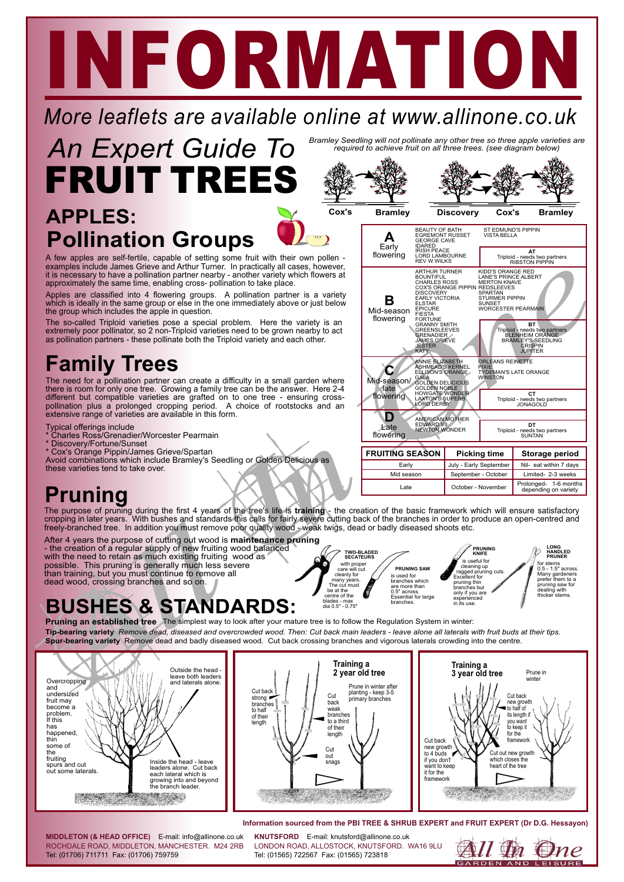# NEORMATI

#### *More leaflets are available online at www.allinone.co.uk*



Bramley Seedling will not pollinate any other tree so three apple varieties are<br>required to achieve fruit on all three trees. (see diagram below)

#### **Pollination Groups APPLES:**



**Cox's Bramley Discovery Cox's Bramley PORTER SEARCH AND CONSIDERS**<br> **DESCRIPTION AND CONSIDERED**<br> **DESCRIPTION AND CONSIDERED**<br> **DESCRIPTION AND CONSIDERED SEARCH AND CONSIDERED**<br> **DESCRIPTION**<br> **DESCRIPTION**<br> **DESCRIPTION**<br> **DESCRIPTION**<br> **DESCRIPTION**<br> **DES A D B C Early** flowering Late flowering **FRUITING SEASON Picking time Storage period** Nil- eat within 7 days Limited- 2-3 weeks July - Early September Early Mid-season flowering Mid-season/ late lowering BEAUTY OF BATH EGREMONT RUSSET GEORGE CAVE IDARED IRISH PEACE LORD LAMBOURNE REV <sup>W</sup> WILKS AMERICAN MOTHER EDWARD VII NEWTON WONDER ARTHUR TURNER<br>BOUNTIFUL<br>CHARLES ROSS COX'S ORANGE PIPPIN<br>COX'S ORANGE PIPPIN<br>DISCOVERY<br>EARLY VICTORIA<br>ELSTAR<br>FIESTA FORTUNE<br>GREENSLEEVES<br>GREENSLEEVES<br>JAMES GRIEVE<br>JESTER<br>JESTER<br>KATY ANNIE ELIZABETH<br>ASHMEAD'S KERNEL<br>ELLISON'S ORANGE<br>GALA<br>GOLDEN NOBLE<br>HOWGATE WONDER<br>LAXTON'S SUPERBY<br>LORD DERBY ST EDMUND'S PIPPIN VISTA BELLA KIDD'S ORANGE RED LANE'S PRINCE ALBERT MERTON KNAVE REDSLEEVES SPARTAN STURMER PIPPIN SUNSET<br>WORCESTER PEARM ORLEANS REINETTE PIXIE TYDEMAN'S LATE ORANGE WINSTON **AT** Triploid - needs two partners RIBSTON PIPPIN **DT** Triploid - needs two partners SUNTAN **BT** Triploid - needs two partners<br>BLENHEIM ORANGE<br>BRAMLEY'S SEEDLING<br>CRISPIN<br>JUPITER **CT** Triploid - needs two partners JONAGOLD

**PRUNING KNIFE**

September - October October - November

is useful for cleaning up ragged pruning cuts. Excellent for pruning thin branches but only if you are ...<br>rienced in its use.

**LONG HANDLED PRUNER**

W

Prolonged- 1-6 months depending on variety

for stems<br>0.5 - 1.5" across 0.5 - 1.5" across. Many gardeners prefer them to a pruning saw for dealing with thicker stems.

#### A few apples are self-fertile, capable of setting some fruit with their own pollen examples include James Grieve and Arthur Turner. In practically all cases, however, it is necessary to have a pollination partner nearby - another variety which flowers at approximately the same time, enabling cross- pollination to take place.

Apples are classified into 4 flowering groups. A pollination partner is a variety which is ideally in the same group or else in the one immediately above or just below the group which includes the apple in question.

The so-called Triploid varieties pose a special problem. Here the variety is an extremely poor pollinator, so 2 non-Triploid varieties need to be grown nearby to act as pollination partners - these pollinate both the Triploid variety and each other.

### **Family Trees**

The need for a pollination partner can create a difficulty in a small garden where<br>there is room for only one tree. Growing a family tree can be the answer. Here 2-4<br>different but compatible varieties are grafted on to one

- Typical offerings include
- \* Charles Ross/Grenadier/Worcester Pearmain
- \* Discovery/Fortune/Sunset
- Cox's Orange Pippin/James Grieve/Spartan
- Avoid combinations which include Bramley's Seedling or Golden Delicious as these varieties tend to take over.

#### **Pruning**

The purpose of pruning during the first 4 years of the tree's life is **training** - the creation of the basic framework which will ensure satisfactory<br>cropping in later years. With bushes and standards this calls for fairly

Cox's Orange Pippin/James Grieve/Spartan<br>
Sese varieties tend to take over.<br>
Sese varieties tend to take over.<br>
Sese varieties tend to take over.<br>
PUNIMO<br>
e purpose of pruning during the first 4 years of the tree's life is After 4 years the purpose of cutting out wood is **maintenance pruning** - the creation of a regular supply of new fruiting wood balanced with the need to retain as much existing fruiting wood as possible. This pruning is generally much less severe than training, but you must continue to remove all dead wood, crossing branches and so on.

#### **BUSHES & STANDARDS:**

**Pruning an established tree** The simplest way to look after your mature tree is to follow the Regulation System in winter: **Spur-bearing variety** Remove dead and badly diseased wood. Cut back crossing branches and vigorous laterals crowding into the centre. Tip-bearing variety Remove dead, diseased and overcrowded wood. Then: Cut back main leaders - leave alone all laterals with fruit buds at their tips.



#### **Information sourced from the PBI TREE & SHRUB EXPERT and FRUIT EXPERT (Dr D.G. Hessayon)**

**PRUNING SAW**

is used for branches which are more than 0.5" across. Essential for large branches.

Mid seasor Late

**TWO-BLADED SECATEURS**

with proper care will cut cleanly for many years. The cut must be at the centre of the blades - max dia 0.5" - 0.75"

ROCHDALE ROAD, MIDDLETON, MANCHESTER. M24 2RB Tel: (01706) 711711 Fax: (01706) 759759 **MIDDLETON (& HEAD OFFICE)** E-mail: info@allinone.co.uk **KNUTSFORD** E-mail: knutsford@allinone.co.uk

LONDON ROAD, ALLOSTOCK, KNUTSFORD. WA16 9LU Tel: (01565) 722567 Fax: (01565) 723818